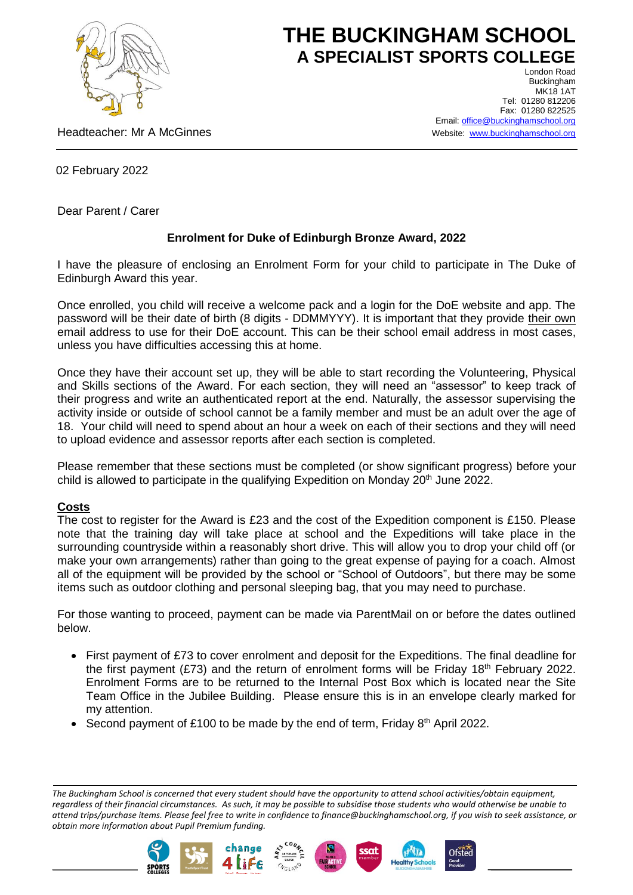

## **THE BUCKINGHAM SCHOOL A SPECIALIST SPORTS COLLEGE** London Road

Headteacher: Mr A McGinnes

Buckingham **MK18 1AT** Tel: 01280 812206 Fax: 01280 822525 Email[: office@buckinghamschool.org](mailto:office@buckinghamschool.org) Website: [www.buckinghamschool.org](http://www.buckinghamschool.org/)

02 February 2022

Dear Parent / Carer

## **Enrolment for Duke of Edinburgh Bronze Award, 2022**

I have the pleasure of enclosing an Enrolment Form for your child to participate in The Duke of Edinburgh Award this year.

Once enrolled, you child will receive a welcome pack and a login for the DoE website and app. The password will be their date of birth (8 digits - DDMMYYY). It is important that they provide their own email address to use for their DoE account. This can be their school email address in most cases, unless you have difficulties accessing this at home.

Once they have their account set up, they will be able to start recording the Volunteering, Physical and Skills sections of the Award. For each section, they will need an "assessor" to keep track of their progress and write an authenticated report at the end. Naturally, the assessor supervising the activity inside or outside of school cannot be a family member and must be an adult over the age of 18. Your child will need to spend about an hour a week on each of their sections and they will need to upload evidence and assessor reports after each section is completed.

Please remember that these sections must be completed (or show significant progress) before your child is allowed to participate in the qualifying Expedition on Monday  $20^{th}$  June 2022.

## **Costs**

The cost to register for the Award is £23 and the cost of the Expedition component is £150. Please note that the training day will take place at school and the Expeditions will take place in the surrounding countryside within a reasonably short drive. This will allow you to drop your child off (or make your own arrangements) rather than going to the great expense of paying for a coach. Almost all of the equipment will be provided by the school or "School of Outdoors", but there may be some items such as outdoor clothing and personal sleeping bag, that you may need to purchase.

For those wanting to proceed, payment can be made via ParentMail on or before the dates outlined below.

- First payment of £73 to cover enrolment and deposit for the Expeditions. The final deadline for the first payment (£73) and the return of enrolment forms will be Friday 18<sup>th</sup> February 2022. Enrolment Forms are to be returned to the Internal Post Box which is located near the Site Team Office in the Jubilee Building. Please ensure this is in an envelope clearly marked for my attention.
- Second payment of £100 to be made by the end of term, Friday  $8<sup>th</sup>$  April 2022.

*The Buckingham School is concerned that every student should have the opportunity to attend school activities/obtain equipment, regardless of their financial circumstances. As such, it may be possible to subsidise those students who would otherwise be unable to attend trips/purchase items. Please feel free to write in confidence to finance@buckinghamschool.org, if you wish to seek assistance, or obtain more information about Pupil Premium funding.*